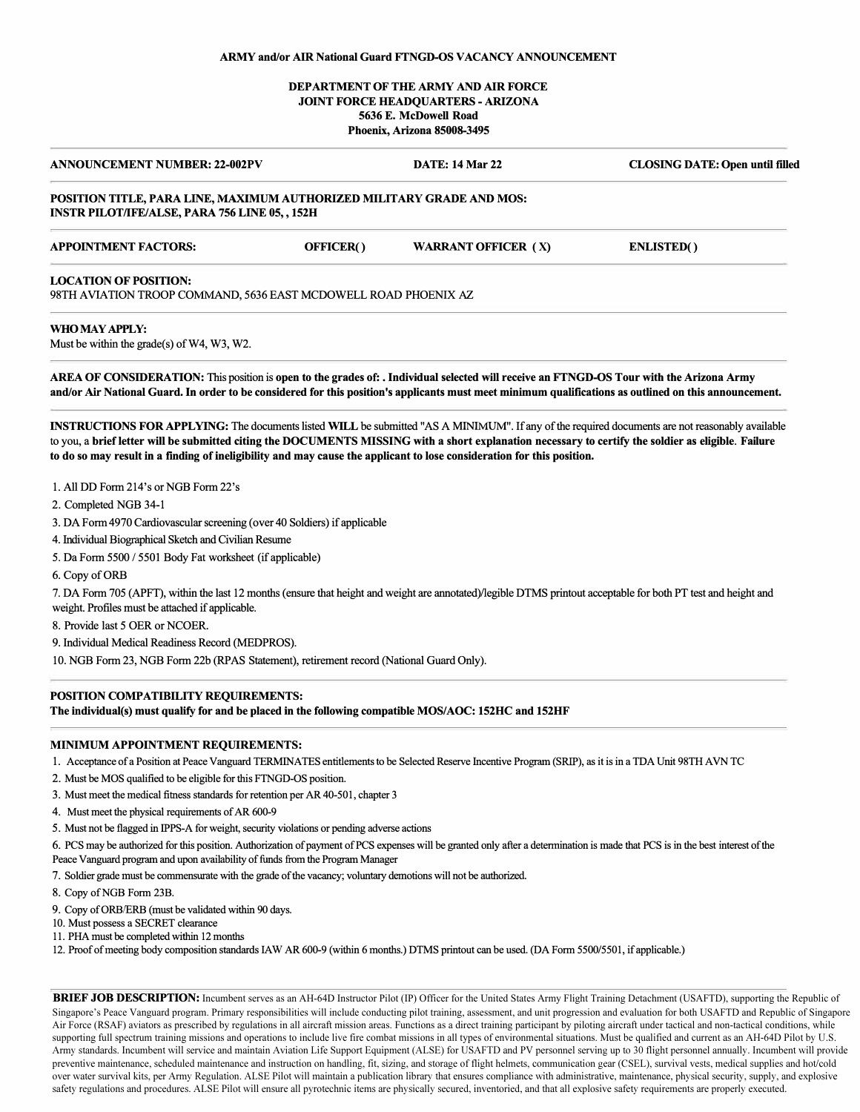## **ARMY and/or AIR National Guard FTNGD-OS VACANCY ANNOUNCEMENT**

# **DEPARTMENT OF THE ARMY AND AIR FORCE JOINT FORCE HEADQUARTERS -ARIZONA 5636 E. McDowell Road Phoenix, Arizona 85008-3495**

| <b>ANNOUNCEMENT NUMBER: 22-002PV</b>                                                                                          |           | <b>DATE: 14 Mar 22</b>     | <b>CLOSING DATE: Open until filled</b> |
|-------------------------------------------------------------------------------------------------------------------------------|-----------|----------------------------|----------------------------------------|
| POSITION TITLE, PARA LINE, MAXIMUM AUTHORIZED MILITARY GRADE AND MOS:<br><b>INSTR PILOT/IFE/ALSE, PARA 756 LINE 05,, 152H</b> |           |                            |                                        |
| <b>APPOINTMENT FACTORS:</b>                                                                                                   | OFFICER() | <b>WARRANT OFFICER (X)</b> | <b>ENLISTED()</b>                      |
| <b>LOCATION OF POSITION:</b><br>98TH AVIATION TROOP COMMAND, 5636 EAST MCDOWELL ROAD PHOENIX AZ                               |           |                            |                                        |
| WHO MAY APPLY:                                                                                                                |           |                            |                                        |

Must be within the grade(s) of  $W4$ ,  $W3$ ,  $W2$ .

AREA OF CONSIDERATION: This position is open to the grades of: . Individual selected will receive an FTNGD-OS Tour with the Arizona Army **and/or** Air **National Guard.** In **order to be considered for this position's applicants must meet minimum qualifications as outlined on this announcement.** 

**INSTRUCTIONS FOR APPL YING:** The documents listed **WILL** be submitted "AS A MINIMUM". If any of the required documents are not reasonably available to you, a **brief letter will be submitted citing the DOCUMENTS MISSING with a short explanation necessary to certify the soldier as eligible. Failure to do so may result** in **a finding of ineligibility and may cause the applicant to lose consideration for this position.** 

- 1. All DD Form 214's or NOB Form 22's
- 2. Completed NOB 34-1
- 3. DA Form 4970 Cardiovascular screening (over 40 Soldiers) if applicable
- 4. Individual Biographical Sketch and Civilian Resume
- 5. Da Form 5500 / 5501 Body Fat worksheet (if applicable)
- 6. Copy of ORB

7. DA Form 705 (APFT), within the last 12 months (ensure that height and weight are annotated)/legible DTMS printout acceptable for both PT test and height and weight. Profiles must be attached if applicable.

- 8. Provide last *5* OER or NCOER
- 9. Individual Medical Readiness Record (MEDPROS).
- 10. NGB Form 23, NGB Form 22b (RPAS Statement), retirement record (National Guard Only).

### **POSITION COMPATIBILITY REQUIREMENTS:**

**The individual(s) must qualify for and be placed** in **the following compatible MOS/AOC: 1528C and 152HF** 

#### **MINIMUM APPOINTMENT REQUIREMENTS:**

1. Acceptance ofa Position at Peace Vanguard TERMINATES entitlements to be Selected Reserve Incentive Program (SRIP), as it is in a TOA Unit 98TH A VN TC

- 2. Must be MOS qualified to be eligible for this FTNGD-OS position.
- 3. Must meet the medical fitness standards for retention per AR 40-501, chapter 3
- 4. Must meet the physical requirements of AR 600-9
- 5. Must not be flagged in IPPS-A for weight, security violations or pending adverse actions
- 6. PCS may be authorized for this position. Authorization of payment of PCS expenses will begranted only after a determination is made that PCS is in the best interest ofthe Peace Vanguard program and upon availability of funds from the Program Manager
- 7. Soldiergrade must be commensurate with the grade of the vacancy; voluntary demotions will not be authorized.
- 8. Copy of NGB Form 23B.
- 9. Copy of ORB/ERB (must be validated within 90 days.
- 10. Must possess a SECRET clearance
- 11. PHA must be completed within 12 months
- 12. Proof of meeting body composition standards IAW AR 600-9 (within 6 months.) DTMS printout can be used. (DA Form 5500/5501, if applicable.)

**BRIEF JOB DESCRIPTION:** Incumbent serves as an AH-64D Instructor Pilot (IP) Officer for the United States Army Flight Training Detachment (USAFTD), supporting the Republic of Singapore's Peace Vanguard program. Primary responsibilities will include conducting pilot training, assessment, and unit progression and evaluation for both USAFTD and Republic of Singapore Air Force (RSAF) aviators as prescribed by regulations in all aircraft mission areas. Functions as a direct training participant by piloting aircraft under tactical and non-tactical conditions, while supporting full spectrum training missions and operations to include live fire combat missions in all types of environmental situations. Must be qualified and current as an AH-64D Pilot by U.S. Army standards. Incumbent will service and maintain Aviation Life Support Equipment (ALSE) for USAFTD and PV personnel serving up to 30 flight personnel annually. Incumbent will provide preventive maintenance, scheduled maintenance and instruction on handling, fit, sizing, and storage of flight helmets, communication gear (CSEL), survival vests, medical supplies and hot/cold over water survival kits, per Army Regulation. ALSE Pilot will maintain a publication library that ensures compliance with administrative, maintenance, physical security, supply, and explosive safety regulations and procedures. ALSE Pilot will ensure all pyrotechnic items are physically secured, inventoried, and that all explosive safety requirements are properly executed.